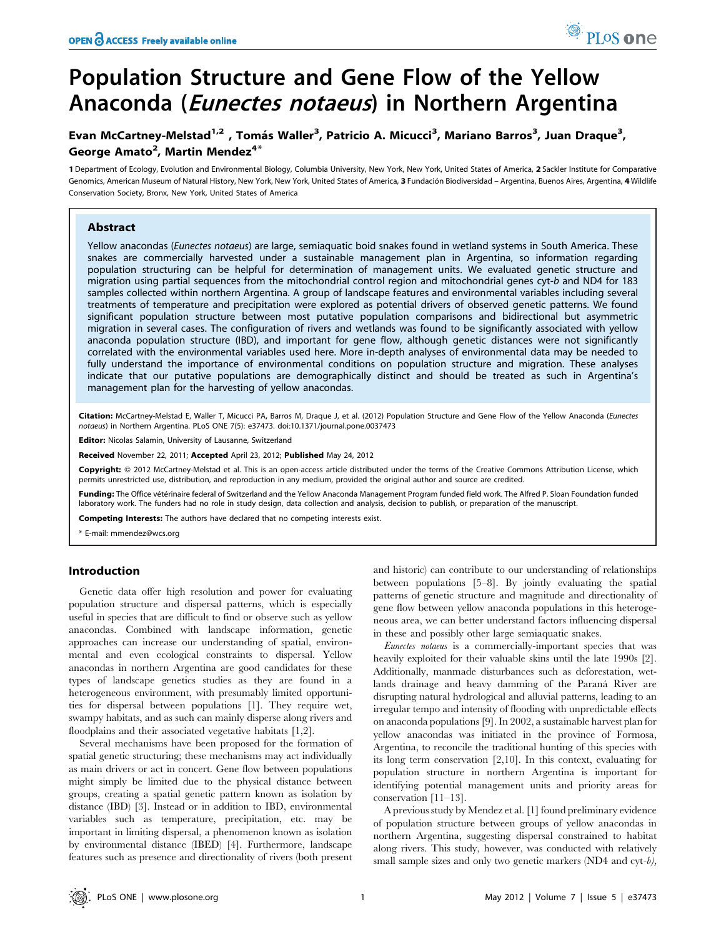# Population Structure and Gene Flow of the Yellow Anaconda (Eunectes notaeus) in Northern Argentina

# Evan McCartney-Melstad<sup>1,2</sup> , Tomás Waller<sup>3</sup>, Patricio A. Micucci<sup>3</sup>, Mariano Barros<sup>3</sup>, Juan Draque<sup>3</sup>, George Amato<sup>2</sup>, Martin Mendez<sup>4\*</sup>

1 Department of Ecology, Evolution and Environmental Biology, Columbia University, New York, New York, United States of America, 2 Sackler Institute for Comparative Genomics, American Museum of Natural History, New York, New York, United States of America, 3 Fundación Biodiversidad - Argentina, Buenos Aires, Argentina, 4 Wildlife Conservation Society, Bronx, New York, United States of America

# Abstract

Yellow anacondas (Eunectes notaeus) are large, semiaquatic boid snakes found in wetland systems in South America. These snakes are commercially harvested under a sustainable management plan in Argentina, so information regarding population structuring can be helpful for determination of management units. We evaluated genetic structure and migration using partial sequences from the mitochondrial control region and mitochondrial genes cyt-b and ND4 for 183 samples collected within northern Argentina. A group of landscape features and environmental variables including several treatments of temperature and precipitation were explored as potential drivers of observed genetic patterns. We found significant population structure between most putative population comparisons and bidirectional but asymmetric migration in several cases. The configuration of rivers and wetlands was found to be significantly associated with yellow anaconda population structure (IBD), and important for gene flow, although genetic distances were not significantly correlated with the environmental variables used here. More in-depth analyses of environmental data may be needed to fully understand the importance of environmental conditions on population structure and migration. These analyses indicate that our putative populations are demographically distinct and should be treated as such in Argentina's management plan for the harvesting of yellow anacondas.

Citation: McCartney-Melstad E, Waller T, Micucci PA, Barros M, Draque J, et al. (2012) Population Structure and Gene Flow of the Yellow Anaconda (Eunectes notaeus) in Northern Argentina. PLoS ONE 7(5): e37473. doi:10.1371/journal.pone.0037473

Editor: Nicolas Salamin, University of Lausanne, Switzerland

Received November 22, 2011; Accepted April 23, 2012; Published May 24, 2012

Copyright: @ 2012 McCartney-Melstad et al. This is an open-access article distributed under the terms of the Creative Commons Attribution License, which permits unrestricted use, distribution, and reproduction in any medium, provided the original author and source are credited.

Funding: The Office vétérinaire federal of Switzerland and the Yellow Anaconda Management Program funded field work. The Alfred P. Sloan Foundation funded laboratory work. The funders had no role in study design, data collection and analysis, decision to publish, or preparation of the manuscript.

Competing Interests: The authors have declared that no competing interests exist.

 $^\ast$  E-mail: mmendez@wcs.org

## Introduction

Genetic data offer high resolution and power for evaluating population structure and dispersal patterns, which is especially useful in species that are difficult to find or observe such as yellow anacondas. Combined with landscape information, genetic approaches can increase our understanding of spatial, environmental and even ecological constraints to dispersal. Yellow anacondas in northern Argentina are good candidates for these types of landscape genetics studies as they are found in a heterogeneous environment, with presumably limited opportunities for dispersal between populations [1]. They require wet, swampy habitats, and as such can mainly disperse along rivers and floodplains and their associated vegetative habitats [1,2].

Several mechanisms have been proposed for the formation of spatial genetic structuring; these mechanisms may act individually as main drivers or act in concert. Gene flow between populations might simply be limited due to the physical distance between groups, creating a spatial genetic pattern known as isolation by distance (IBD) [3]. Instead or in addition to IBD, environmental variables such as temperature, precipitation, etc. may be important in limiting dispersal, a phenomenon known as isolation by environmental distance (IBED) [4]. Furthermore, landscape features such as presence and directionality of rivers (both present

and historic) can contribute to our understanding of relationships between populations [5–8]. By jointly evaluating the spatial patterns of genetic structure and magnitude and directionality of gene flow between yellow anaconda populations in this heterogeneous area, we can better understand factors influencing dispersal in these and possibly other large semiaquatic snakes.

<sup>.</sup><br>PLoS one

Eunectes notaeus is a commercially-important species that was heavily exploited for their valuable skins until the late 1990s [2]. Additionally, manmade disturbances such as deforestation, wetlands drainage and heavy damming of the Paraná River are disrupting natural hydrological and alluvial patterns, leading to an irregular tempo and intensity of flooding with unpredictable effects on anaconda populations [9]. In 2002, a sustainable harvest plan for yellow anacondas was initiated in the province of Formosa, Argentina, to reconcile the traditional hunting of this species with its long term conservation [2,10]. In this context, evaluating for population structure in northern Argentina is important for identifying potential management units and priority areas for conservation [11–13].

A previous study by Mendez et al. [1] found preliminary evidence of population structure between groups of yellow anacondas in northern Argentina, suggesting dispersal constrained to habitat along rivers. This study, however, was conducted with relatively small sample sizes and only two genetic markers (ND4 and cyt-b),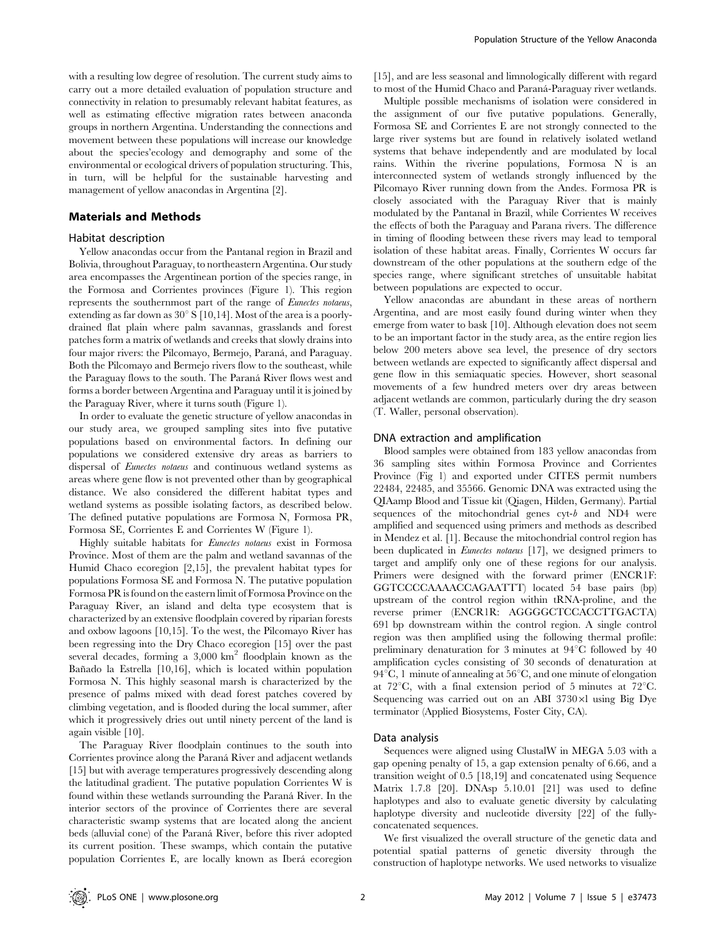with a resulting low degree of resolution. The current study aims to carry out a more detailed evaluation of population structure and connectivity in relation to presumably relevant habitat features, as well as estimating effective migration rates between anaconda groups in northern Argentina. Understanding the connections and movement between these populations will increase our knowledge about the species'ecology and demography and some of the environmental or ecological drivers of population structuring. This, in turn, will be helpful for the sustainable harvesting and management of yellow anacondas in Argentina [2].

# Materials and Methods

#### Habitat description

Yellow anacondas occur from the Pantanal region in Brazil and Bolivia, throughout Paraguay, to northeastern Argentina. Our study area encompasses the Argentinean portion of the species range, in the Formosa and Corrientes provinces (Figure 1). This region represents the southernmost part of the range of Eunectes notaeus, extending as far down as  $30^{\circ}$  S [10,14]. Most of the area is a poorlydrained flat plain where palm savannas, grasslands and forest patches form a matrix of wetlands and creeks that slowly drains into four major rivers: the Pilcomayo, Bermejo, Paraná, and Paraguay. Both the Pilcomayo and Bermejo rivers flow to the southeast, while the Paraguay flows to the south. The Paraná River flows west and forms a border between Argentina and Paraguay until it is joined by the Paraguay River, where it turns south (Figure 1).

In order to evaluate the genetic structure of yellow anacondas in our study area, we grouped sampling sites into five putative populations based on environmental factors. In defining our populations we considered extensive dry areas as barriers to dispersal of Eunectes notaeus and continuous wetland systems as areas where gene flow is not prevented other than by geographical distance. We also considered the different habitat types and wetland systems as possible isolating factors, as described below. The defined putative populations are Formosa N, Formosa PR, Formosa SE, Corrientes E and Corrientes W (Figure 1).

Highly suitable habitats for Eunectes notaeus exist in Formosa Province. Most of them are the palm and wetland savannas of the Humid Chaco ecoregion [2,15], the prevalent habitat types for populations Formosa SE and Formosa N. The putative population Formosa PR is found on the eastern limit of Formosa Province on the Paraguay River, an island and delta type ecosystem that is characterized by an extensive floodplain covered by riparian forests and oxbow lagoons [10,15]. To the west, the Pilcomayo River has been regressing into the Dry Chaco ecoregion [15] over the past several decades, forming a  $3,000 \text{ km}^2$  floodplain known as the Bañado la Estrella [10,16], which is located within population Formosa N. This highly seasonal marsh is characterized by the presence of palms mixed with dead forest patches covered by climbing vegetation, and is flooded during the local summer, after which it progressively dries out until ninety percent of the land is again visible [10].

The Paraguay River floodplain continues to the south into Corrientes province along the Paraná River and adjacent wetlands [15] but with average temperatures progressively descending along the latitudinal gradient. The putative population Corrientes W is found within these wetlands surrounding the Paraná River. In the interior sectors of the province of Corrientes there are several characteristic swamp systems that are located along the ancient beds (alluvial cone) of the Paraná River, before this river adopted its current position. These swamps, which contain the putative population Corrientes E, are locally known as Iberá ecoregion

[15], and are less seasonal and limnologically different with regard to most of the Humid Chaco and Paraná-Paraguay river wetlands.

Multiple possible mechanisms of isolation were considered in the assignment of our five putative populations. Generally, Formosa SE and Corrientes E are not strongly connected to the large river systems but are found in relatively isolated wetland systems that behave independently and are modulated by local rains. Within the riverine populations, Formosa N is an interconnected system of wetlands strongly influenced by the Pilcomayo River running down from the Andes. Formosa PR is closely associated with the Paraguay River that is mainly modulated by the Pantanal in Brazil, while Corrientes W receives the effects of both the Paraguay and Parana rivers. The difference in timing of flooding between these rivers may lead to temporal isolation of these habitat areas. Finally, Corrientes W occurs far downstream of the other populations at the southern edge of the species range, where significant stretches of unsuitable habitat between populations are expected to occur.

Yellow anacondas are abundant in these areas of northern Argentina, and are most easily found during winter when they emerge from water to bask [10]. Although elevation does not seem to be an important factor in the study area, as the entire region lies below 200 meters above sea level, the presence of dry sectors between wetlands are expected to significantly affect dispersal and gene flow in this semiaquatic species. However, short seasonal movements of a few hundred meters over dry areas between adjacent wetlands are common, particularly during the dry season (T. Waller, personal observation).

#### DNA extraction and amplification

Blood samples were obtained from 183 yellow anacondas from 36 sampling sites within Formosa Province and Corrientes Province (Fig 1) and exported under CITES permit numbers 22484, 22485, and 35566. Genomic DNA was extracted using the QIAamp Blood and Tissue kit (Qiagen, Hilden, Germany). Partial sequences of the mitochondrial genes  $cyt-b$  and ND4 were amplified and sequenced using primers and methods as described in Mendez et al. [1]. Because the mitochondrial control region has been duplicated in *Eunectes notaeus* [17], we designed primers to target and amplify only one of these regions for our analysis. Primers were designed with the forward primer (ENCR1F: GGTCCCCAAAACCAGAATTT) located 54 base pairs (bp) upstream of the control region within tRNA-proline, and the reverse primer (ENCR1R: AGGGGCTCCACCTTGACTA) 691 bp downstream within the control region. A single control region was then amplified using the following thermal profile: preliminary denaturation for 3 minutes at  $94^{\circ}$ C followed by 40 amplification cycles consisting of 30 seconds of denaturation at  $94^{\circ}$ C, 1 minute of annealing at  $56^{\circ}$ C, and one minute of elongation at  $72^{\circ}$ C, with a final extension period of 5 minutes at  $72^{\circ}$ C. Sequencing was carried out on an ABI  $3730\times1$  using Big Dye terminator (Applied Biosystems, Foster City, CA).

#### Data analysis

Sequences were aligned using ClustalW in MEGA 5.03 with a gap opening penalty of 15, a gap extension penalty of 6.66, and a transition weight of 0.5 [18,19] and concatenated using Sequence Matrix 1.7.8 [20]. DNAsp 5.10.01 [21] was used to define haplotypes and also to evaluate genetic diversity by calculating haplotype diversity and nucleotide diversity [22] of the fullyconcatenated sequences.

We first visualized the overall structure of the genetic data and potential spatial patterns of genetic diversity through the construction of haplotype networks. We used networks to visualize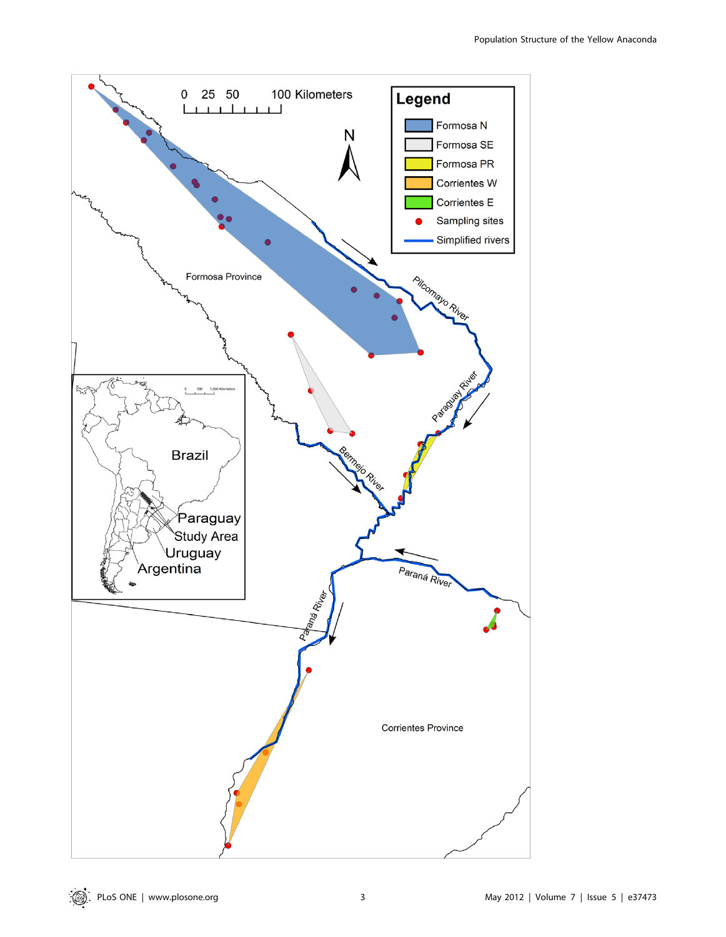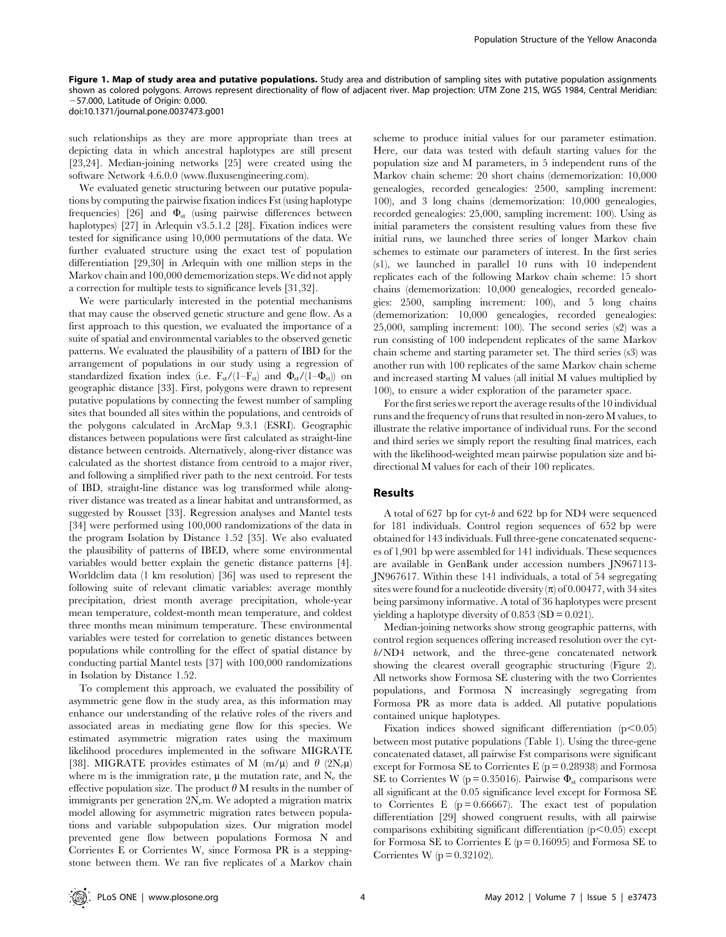Figure 1. Map of study area and putative populations. Study area and distribution of sampling sites with putative population assignments shown as colored polygons. Arrows represent directionality of flow of adjacent river. Map projection: UTM Zone 21S, WGS 1984, Central Meridian:  $-57.000$ , Latitude of Origin: 0.000. doi:10.1371/journal.pone.0037473.g001

such relationships as they are more appropriate than trees at depicting data in which ancestral haplotypes are still present [23,24]. Median-joining networks [25] were created using the software Network 4.6.0.0 (www.fluxusengineering.com).

We evaluated genetic structuring between our putative populations by computing the pairwise fixation indices Fst (using haplotype frequencies) [26] and  $\Phi_{st}$  (using pairwise differences between haplotypes) [27] in Arlequin v3.5.1.2 [28]. Fixation indices were tested for significance using 10,000 permutations of the data. We further evaluated structure using the exact test of population differentiation [29,30] in Arlequin with one million steps in the Markov chain and 100,000 dememorization steps. We did not apply a correction for multiple tests to significance levels [31,32].

We were particularly interested in the potential mechanisms that may cause the observed genetic structure and gene flow. As a first approach to this question, we evaluated the importance of a suite of spatial and environmental variables to the observed genetic patterns. We evaluated the plausibility of a pattern of IBD for the arrangement of populations in our study using a regression of standardized fixation index (i.e.  $F_{st}/(1-F_{st})$  and  $\Phi_{st}/(1-\Phi_{st})$ ) on geographic distance [33]. First, polygons were drawn to represent putative populations by connecting the fewest number of sampling sites that bounded all sites within the populations, and centroids of the polygons calculated in ArcMap 9.3.1 (ESRI). Geographic distances between populations were first calculated as straight-line distance between centroids. Alternatively, along-river distance was calculated as the shortest distance from centroid to a major river, and following a simplified river path to the next centroid. For tests of IBD, straight-line distance was log transformed while alongriver distance was treated as a linear habitat and untransformed, as suggested by Rousset [33]. Regression analyses and Mantel tests [34] were performed using 100,000 randomizations of the data in the program Isolation by Distance 1.52 [35]. We also evaluated the plausibility of patterns of IBED, where some environmental variables would better explain the genetic distance patterns [4]. Worldclim data (1 km resolution) [36] was used to represent the following suite of relevant climatic variables: average monthly precipitation, driest month average precipitation, whole-year mean temperature, coldest-month mean temperature, and coldest three months mean minimum temperature. These environmental variables were tested for correlation to genetic distances between populations while controlling for the effect of spatial distance by conducting partial Mantel tests [37] with 100,000 randomizations in Isolation by Distance 1.52.

To complement this approach, we evaluated the possibility of asymmetric gene flow in the study area, as this information may enhance our understanding of the relative roles of the rivers and associated areas in mediating gene flow for this species. We estimated asymmetric migration rates using the maximum likelihood procedures implemented in the software MIGRATE [38]. MIGRATE provides estimates of M (m/ $\mu$ ) and  $\theta$  (2N<sub>e</sub> $\mu$ ) where m is the immigration rate,  $\mu$  the mutation rate, and  $N_e$  the effective population size. The product  $\theta$  M results in the number of immigrants per generation  $2N_{e}$ m. We adopted a migration matrix model allowing for asymmetric migration rates between populations and variable subpopulation sizes. Our migration model prevented gene flow between populations Formosa N and Corrientes E or Corrientes W, since Formosa PR is a steppingstone between them. We ran five replicates of a Markov chain

scheme to produce initial values for our parameter estimation. Here, our data was tested with default starting values for the population size and M parameters, in 5 independent runs of the Markov chain scheme: 20 short chains (dememorization: 10,000 genealogies, recorded genealogies: 2500, sampling increment: 100), and 3 long chains (dememorization: 10,000 genealogies, recorded genealogies: 25,000, sampling increment: 100). Using as initial parameters the consistent resulting values from these five initial runs, we launched three series of longer Markov chain schemes to estimate our parameters of interest. In the first series (s1), we launched in parallel 10 runs with 10 independent replicates each of the following Markov chain scheme: 15 short chains (dememorization: 10,000 genealogies, recorded genealogies: 2500, sampling increment: 100), and 5 long chains (dememorization: 10,000 genealogies, recorded genealogies: 25,000, sampling increment: 100). The second series (s2) was a run consisting of 100 independent replicates of the same Markov chain scheme and starting parameter set. The third series (s3) was another run with 100 replicates of the same Markov chain scheme and increased starting M values (all initial M values multiplied by 100), to ensure a wider exploration of the parameter space.

For the first series we report the average results of the 10 individual runs and the frequency of runs that resulted in non-zero M values, to illustrate the relative importance of individual runs. For the second and third series we simply report the resulting final matrices, each with the likelihood-weighted mean pairwise population size and bidirectional M values for each of their 100 replicates.

#### Results

A total of 627 bp for cyt-b and 622 bp for ND4 were sequenced for 181 individuals. Control region sequences of 652 bp were obtained for 143 individuals. Full three-gene concatenated sequences of 1,901 bp were assembled for 141 individuals. These sequences are available in GenBank under accession numbers JN967113- JN967617. Within these 141 individuals, a total of 54 segregating sites were found for a nucleotide diversity  $(\pi)$  of 0.00477, with 34 sites being parsimony informative. A total of 36 haplotypes were present yielding a haplotype diversity of  $0.853$  (SD =  $0.021$ ).

Median-joining networks show strong geographic patterns, with control region sequences offering increased resolution over the cytb/ND4 network, and the three-gene concatenated network showing the clearest overall geographic structuring (Figure 2). All networks show Formosa SE clustering with the two Corrientes populations, and Formosa N increasingly segregating from Formosa PR as more data is added. All putative populations contained unique haplotypes.

Fixation indices showed significant differentiation  $(p<0.05)$ between most putative populations (Table 1). Using the three-gene concatenated dataset, all pairwise Fst comparisons were significant except for Formosa SE to Corrientes E  $(p = 0.28938)$  and Formosa SE to Corrientes W ( $p = 0.35016$ ). Pairwise  $\Phi_{st}$  comparisons were all significant at the 0.05 significance level except for Formosa SE to Corrientes E  $(p = 0.66667)$ . The exact test of population differentiation [29] showed congruent results, with all pairwise comparisons exhibiting significant differentiation  $(p<0.05)$  except for Formosa SE to Corrientes E ( $p = 0.16095$ ) and Formosa SE to Corrientes W ( $p = 0.32102$ ).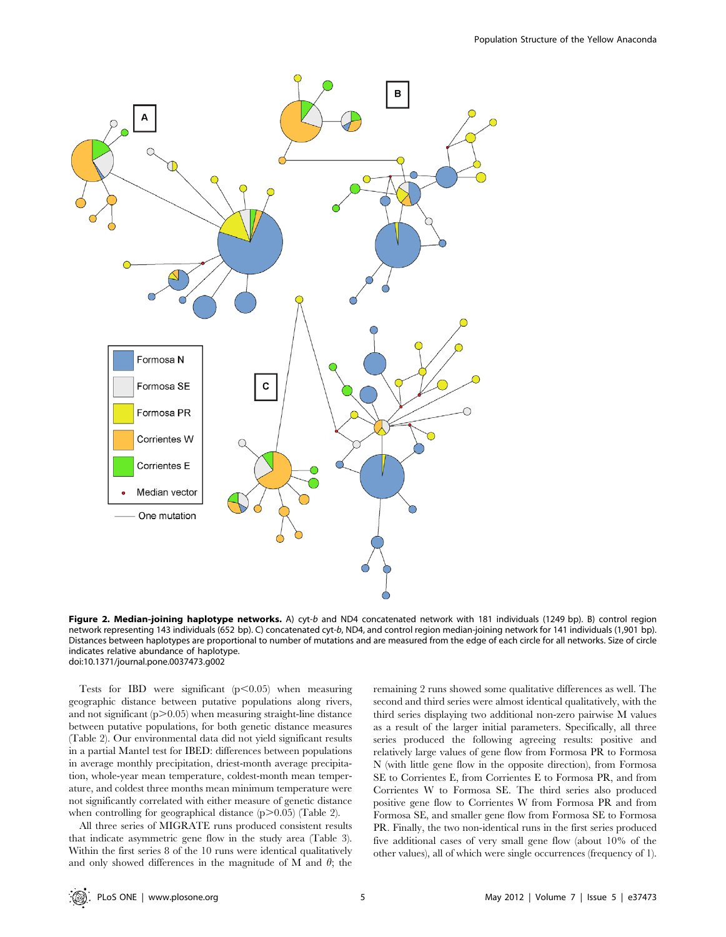

Figure 2. Median-joining haplotype networks. A) cyt-b and ND4 concatenated network with 181 individuals (1249 bp). B) control region network representing 143 individuals (652 bp). C) concatenated cyt-b, ND4, and control region median-joining network for 141 individuals (1,901 bp). Distances between haplotypes are proportional to number of mutations and are measured from the edge of each circle for all networks. Size of circle indicates relative abundance of haplotype. doi:10.1371/journal.pone.0037473.g002

Tests for IBD were significant  $(p<0.05)$  when measuring geographic distance between putative populations along rivers, and not significant  $(p>0.05)$  when measuring straight-line distance between putative populations, for both genetic distance measures (Table 2). Our environmental data did not yield significant results in a partial Mantel test for IBED: differences between populations in average monthly precipitation, driest-month average precipitation, whole-year mean temperature, coldest-month mean temperature, and coldest three months mean minimum temperature were not significantly correlated with either measure of genetic distance when controlling for geographical distance  $(p>0.05)$  (Table 2).

All three series of MIGRATE runs produced consistent results that indicate asymmetric gene flow in the study area (Table 3). Within the first series 8 of the 10 runs were identical qualitatively and only showed differences in the magnitude of M and  $\theta$ ; the remaining 2 runs showed some qualitative differences as well. The second and third series were almost identical qualitatively, with the third series displaying two additional non-zero pairwise M values as a result of the larger initial parameters. Specifically, all three series produced the following agreeing results: positive and relatively large values of gene flow from Formosa PR to Formosa N (with little gene flow in the opposite direction), from Formosa SE to Corrientes E, from Corrientes E to Formosa PR, and from Corrientes W to Formosa SE. The third series also produced positive gene flow to Corrientes W from Formosa PR and from Formosa SE, and smaller gene flow from Formosa SE to Formosa PR. Finally, the two non-identical runs in the first series produced five additional cases of very small gene flow (about 10% of the other values), all of which were single occurrences (frequency of 1).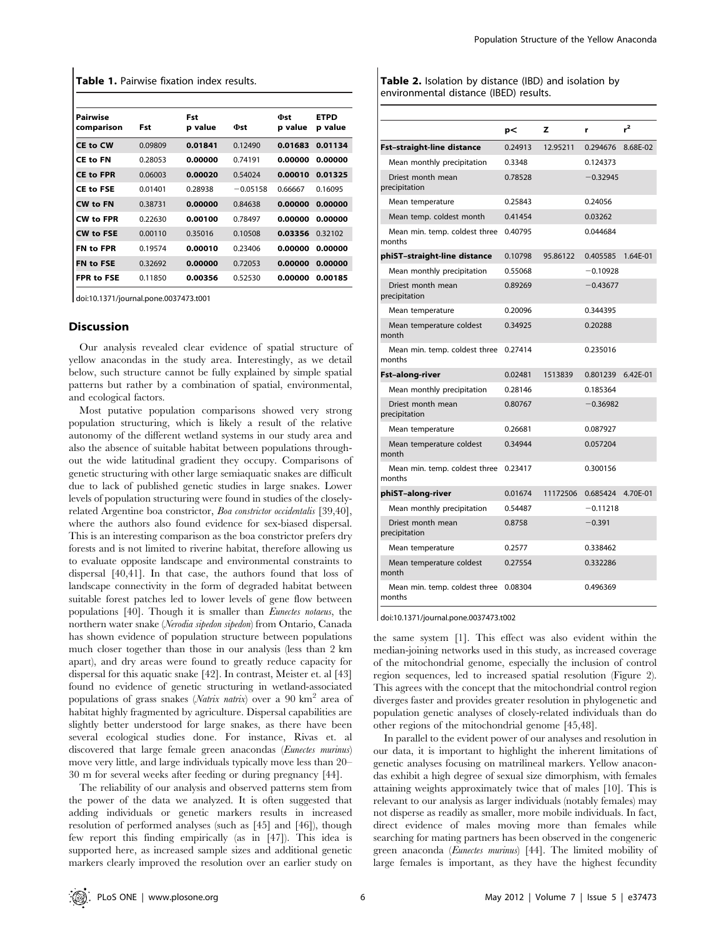Table 1. Pairwise fixation index results.

| <b>Pairwise</b><br>comparison | Fst     | <b>Fst</b><br>p value | Фst        | Фst<br>p value | <b>ETPD</b><br>p value |
|-------------------------------|---------|-----------------------|------------|----------------|------------------------|
| <b>CE to CW</b>               | 0.09809 | 0.01841               | 0.12490    | 0.01683        | 0.01134                |
| <b>CE to FN</b>               | 0.28053 | 0.00000               | 0.74191    | 0.00000        | 0.00000                |
| <b>CE to FPR</b>              | 0.06003 | 0.00020               | 0.54024    | 0.00010        | 0.01325                |
| <b>CE to FSE</b>              | 0.01401 | 0.28938               | $-0.05158$ | 0.66667        | 0.16095                |
| CW to FN                      | 0.38731 | 0.00000               | 0.84638    | 0.00000        | 0.00000                |
| <b>CW to FPR</b>              | 0.22630 | 0.00100               | 0.78497    | 0.00000        | 0.00000                |
| <b>CW to FSE</b>              | 0.00110 | 0.35016               | 0.10508    | 0.03356        | 0.32102                |
| <b>FN to FPR</b>              | 0.19574 | 0.00010               | 0.23406    | 0.00000        | 0.00000                |
| <b>FN to FSE</b>              | 0.32692 | 0.00000               | 0.72053    | 0.00000        | 0.00000                |
| <b>FPR to FSE</b>             | 0.11850 | 0.00356               | 0.52530    | 0.00000        | 0.00185                |

doi:10.1371/journal.pone.0037473.t001

#### **Discussion**

Our analysis revealed clear evidence of spatial structure of yellow anacondas in the study area. Interestingly, as we detail below, such structure cannot be fully explained by simple spatial patterns but rather by a combination of spatial, environmental, and ecological factors.

Most putative population comparisons showed very strong population structuring, which is likely a result of the relative autonomy of the different wetland systems in our study area and also the absence of suitable habitat between populations throughout the wide latitudinal gradient they occupy. Comparisons of genetic structuring with other large semiaquatic snakes are difficult due to lack of published genetic studies in large snakes. Lower levels of population structuring were found in studies of the closelyrelated Argentine boa constrictor, Boa constrictor occidentalis [39,40], where the authors also found evidence for sex-biased dispersal. This is an interesting comparison as the boa constrictor prefers dry forests and is not limited to riverine habitat, therefore allowing us to evaluate opposite landscape and environmental constraints to dispersal [40,41]. In that case, the authors found that loss of landscape connectivity in the form of degraded habitat between suitable forest patches led to lower levels of gene flow between populations [40]. Though it is smaller than Eunectes notaeus, the northern water snake (Nerodia sipedon sipedon) from Ontario, Canada has shown evidence of population structure between populations much closer together than those in our analysis (less than 2 km apart), and dry areas were found to greatly reduce capacity for dispersal for this aquatic snake [42]. In contrast, Meister et. al [43] found no evidence of genetic structuring in wetland-associated populations of grass snakes (Natrix natrix) over a 90 km<sup>2</sup> area of habitat highly fragmented by agriculture. Dispersal capabilities are slightly better understood for large snakes, as there have been several ecological studies done. For instance, Rivas et. al discovered that large female green anacondas (Eunectes murinus) move very little, and large individuals typically move less than 20– 30 m for several weeks after feeding or during pregnancy [44].

The reliability of our analysis and observed patterns stem from the power of the data we analyzed. It is often suggested that adding individuals or genetic markers results in increased resolution of performed analyses (such as [45] and [46]), though few report this finding empirically (as in [47]). This idea is supported here, as increased sample sizes and additional genetic markers clearly improved the resolution over an earlier study on

| <b>Table 2.</b> Isolation by distance (IBD) and isolation by |  |
|--------------------------------------------------------------|--|
| environmental distance (IBED) results.                       |  |

|                                         | p<                  | z        | r          | $r^2$        |
|-----------------------------------------|---------------------|----------|------------|--------------|
| <b>Fst-straight-line distance</b>       | 0.24913<br>12.95211 |          | 0.294676   | 8.68E-02     |
| Mean monthly precipitation              | 0.3348              |          | 0.124373   |              |
| Driest month mean<br>precipitation      | 0.78528             |          | $-0.32945$ |              |
| Mean temperature                        | 0.25843             |          | 0.24056    |              |
| Mean temp. coldest month                | 0.41454             |          | 0.03262    |              |
| Mean min. temp. coldest three<br>months | 0.40795             |          | 0.044684   |              |
| phiST-straight-line distance            | 0.10798             | 95.86122 | 0.405585   | 1.64E-01     |
| Mean monthly precipitation              | 0.55068             |          | $-0.10928$ |              |
| Driest month mean<br>precipitation      | 0.89269             |          | $-0.43677$ |              |
| Mean temperature                        | 0.20096             |          | 0.344395   |              |
| Mean temperature coldest<br>month       | 0.34925             |          | 0.20288    |              |
| Mean min. temp. coldest three<br>months | 0.27414             |          | 0.235016   |              |
| Fst-along-river                         | 0.02481             | 1513839  | 0.801239   | $6.42E - 01$ |
| Mean monthly precipitation              | 0.28146             |          | 0.185364   |              |
| Driest month mean<br>precipitation      | 0.80767             |          | $-0.36982$ |              |
| Mean temperature                        | 0.26681             |          | 0.087927   |              |
| Mean temperature coldest<br>month       | 0.34944             |          | 0.057204   |              |
| Mean min. temp. coldest three<br>months | 0.23417             |          | 0.300156   |              |
| phiST-along-river                       | 0.01674             | 11172506 | 0.685424   | 4.70E-01     |
| Mean monthly precipitation              | 0.54487             |          | $-0.11218$ |              |
| Driest month mean<br>precipitation      | 0.8758              |          | $-0.391$   |              |
| Mean temperature                        | 0.2577              |          | 0.338462   |              |
| Mean temperature coldest<br>month       | 0.27554             |          | 0.332286   |              |
| Mean min. temp. coldest three<br>months | 0.08304             |          | 0.496369   |              |

doi:10.1371/journal.pone.0037473.t002

the same system [1]. This effect was also evident within the median-joining networks used in this study, as increased coverage of the mitochondrial genome, especially the inclusion of control region sequences, led to increased spatial resolution (Figure 2). This agrees with the concept that the mitochondrial control region diverges faster and provides greater resolution in phylogenetic and population genetic analyses of closely-related individuals than do other regions of the mitochondrial genome [45,48].

In parallel to the evident power of our analyses and resolution in our data, it is important to highlight the inherent limitations of genetic analyses focusing on matrilineal markers. Yellow anacondas exhibit a high degree of sexual size dimorphism, with females attaining weights approximately twice that of males [10]. This is relevant to our analysis as larger individuals (notably females) may not disperse as readily as smaller, more mobile individuals. In fact, direct evidence of males moving more than females while searching for mating partners has been observed in the congeneric green anaconda (Eunectes murinus) [44]. The limited mobility of large females is important, as they have the highest fecundity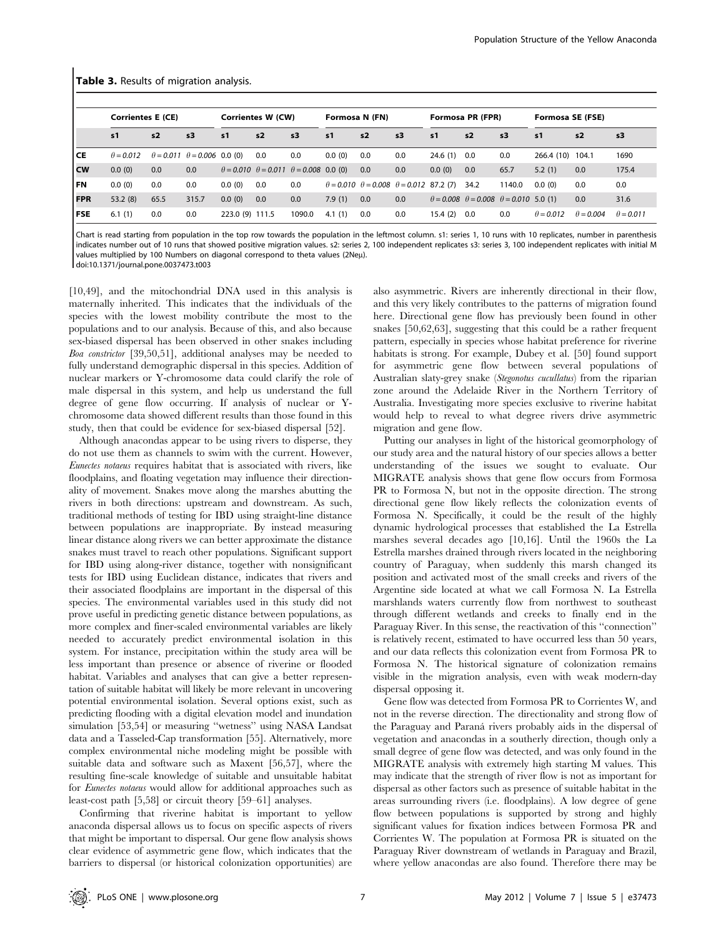#### Table 3. Results of migration analysis.

|            | <b>Corrientes E (CE)</b> |      |                                           | Corrientes W (CW) |                                                            |        | Formosa N (FN) |     |     | <b>Formosa PR (FPR)</b>                                          |     |                                                            | <b>Formosa SE (FSE)</b> |                  |                  |
|------------|--------------------------|------|-------------------------------------------|-------------------|------------------------------------------------------------|--------|----------------|-----|-----|------------------------------------------------------------------|-----|------------------------------------------------------------|-------------------------|------------------|------------------|
|            | s1                       | s2   | s3                                        | s1                | s2                                                         | s3     | s1             | s2  | s3  | s1                                                               | s2  | s3                                                         | s1                      | s2               | s3               |
| <b>CE</b>  | $\theta = 0.012$         |      | $\theta = 0.011$ $\theta = 0.006$ 0.0 (0) |                   | 0.0                                                        | 0.0    | 0.0(0)         | 0.0 | 0.0 | 24.6(1)0.0                                                       |     | 0.0                                                        | 266.4 (10) 104.1        |                  | 1690             |
| <b>CW</b>  | 0.0(0)                   | 0.0  | 0.0                                       |                   | $\theta = 0.010$ $\theta = 0.011$ $\theta = 0.008$ 0.0 (0) |        |                | 0.0 | 0.0 | 0.0(0)                                                           | 0.0 | 65.7                                                       | 5.2(1)                  | 0.0              | 175.4            |
| l FN.      | 0.0(0)                   | 0.0  | 0.0                                       | 0.0(0)            | 0.0                                                        | 0.0    |                |     |     | $\theta = 0.010$ $\theta = 0.008$ $\theta = 0.012$ 87.2 (7) 34.2 |     | 1140.0                                                     | 0.0(0)                  | 0.0              | 0.0              |
| <b>FPR</b> | 53.2(8)                  | 65.5 | 315.7                                     | 0.0(0)            | 0.0                                                        | 0.0    | 7.9(1)         | 0.0 | 0.0 |                                                                  |     | $\theta = 0.008$ $\theta = 0.008$ $\theta = 0.010$ 5.0 (1) |                         | 0.0              | 31.6             |
| <b>FSE</b> | 6.1(1)                   | 0.0  | 0.0                                       | 223.0 (9) 111.5   |                                                            | 1090.0 | 4.1(1)         | 0.0 | 0.0 | 15.4(2)                                                          | 0.0 | 0.0                                                        | $\theta = 0.012$        | $\theta = 0.004$ | $\theta = 0.011$ |

Chart is read starting from population in the top row towards the population in the leftmost column. s1: series 1, 10 runs with 10 replicates, number in parenthesis indicates number out of 10 runs that showed positive migration values. s2: series 2, 100 independent replicates s3: series 3, 100 independent replicates with initial M values multiplied by 100 Numbers on diagonal correspond to theta values (2Neµ).

doi:10.1371/journal.pone.0037473.t003

[10,49], and the mitochondrial DNA used in this analysis is maternally inherited. This indicates that the individuals of the species with the lowest mobility contribute the most to the populations and to our analysis. Because of this, and also because sex-biased dispersal has been observed in other snakes including Boa constrictor [39,50,51], additional analyses may be needed to fully understand demographic dispersal in this species. Addition of nuclear markers or Y-chromosome data could clarify the role of male dispersal in this system, and help us understand the full degree of gene flow occurring. If analysis of nuclear or Ychromosome data showed different results than those found in this study, then that could be evidence for sex-biased dispersal [52].

Although anacondas appear to be using rivers to disperse, they do not use them as channels to swim with the current. However, Eunectes notaeus requires habitat that is associated with rivers, like floodplains, and floating vegetation may influence their directionality of movement. Snakes move along the marshes abutting the rivers in both directions: upstream and downstream. As such, traditional methods of testing for IBD using straight-line distance between populations are inappropriate. By instead measuring linear distance along rivers we can better approximate the distance snakes must travel to reach other populations. Significant support for IBD using along-river distance, together with nonsignificant tests for IBD using Euclidean distance, indicates that rivers and their associated floodplains are important in the dispersal of this species. The environmental variables used in this study did not prove useful in predicting genetic distance between populations, as more complex and finer-scaled environmental variables are likely needed to accurately predict environmental isolation in this system. For instance, precipitation within the study area will be less important than presence or absence of riverine or flooded habitat. Variables and analyses that can give a better representation of suitable habitat will likely be more relevant in uncovering potential environmental isolation. Several options exist, such as predicting flooding with a digital elevation model and inundation simulation [53,54] or measuring "wetness" using NASA Landsat data and a Tasseled-Cap transformation [55]. Alternatively, more complex environmental niche modeling might be possible with suitable data and software such as Maxent [56,57], where the resulting fine-scale knowledge of suitable and unsuitable habitat for Eunectes notaeus would allow for additional approaches such as least-cost path [5,58] or circuit theory [59–61] analyses.

Confirming that riverine habitat is important to yellow anaconda dispersal allows us to focus on specific aspects of rivers that might be important to dispersal. Our gene flow analysis shows clear evidence of asymmetric gene flow, which indicates that the barriers to dispersal (or historical colonization opportunities) are

also asymmetric. Rivers are inherently directional in their flow, and this very likely contributes to the patterns of migration found here. Directional gene flow has previously been found in other snakes [50,62,63], suggesting that this could be a rather frequent pattern, especially in species whose habitat preference for riverine habitats is strong. For example, Dubey et al. [50] found support for asymmetric gene flow between several populations of Australian slaty-grey snake (Stegonotus cucullatus) from the riparian zone around the Adelaide River in the Northern Territory of Australia. Investigating more species exclusive to riverine habitat would help to reveal to what degree rivers drive asymmetric migration and gene flow.

Putting our analyses in light of the historical geomorphology of our study area and the natural history of our species allows a better understanding of the issues we sought to evaluate. Our MIGRATE analysis shows that gene flow occurs from Formosa PR to Formosa N, but not in the opposite direction. The strong directional gene flow likely reflects the colonization events of Formosa N. Specifically, it could be the result of the highly dynamic hydrological processes that established the La Estrella marshes several decades ago [10,16]. Until the 1960s the La Estrella marshes drained through rivers located in the neighboring country of Paraguay, when suddenly this marsh changed its position and activated most of the small creeks and rivers of the Argentine side located at what we call Formosa N. La Estrella marshlands waters currently flow from northwest to southeast through different wetlands and creeks to finally end in the Paraguay River. In this sense, the reactivation of this ''connection'' is relatively recent, estimated to have occurred less than 50 years, and our data reflects this colonization event from Formosa PR to Formosa N. The historical signature of colonization remains visible in the migration analysis, even with weak modern-day dispersal opposing it.

Gene flow was detected from Formosa PR to Corrientes W, and not in the reverse direction. The directionality and strong flow of the Paraguay and Paraná rivers probably aids in the dispersal of vegetation and anacondas in a southerly direction, though only a small degree of gene flow was detected, and was only found in the MIGRATE analysis with extremely high starting M values. This may indicate that the strength of river flow is not as important for dispersal as other factors such as presence of suitable habitat in the areas surrounding rivers (i.e. floodplains). A low degree of gene flow between populations is supported by strong and highly significant values for fixation indices between Formosa PR and Corrientes W. The population at Formosa PR is situated on the Paraguay River downstream of wetlands in Paraguay and Brazil, where yellow anacondas are also found. Therefore there may be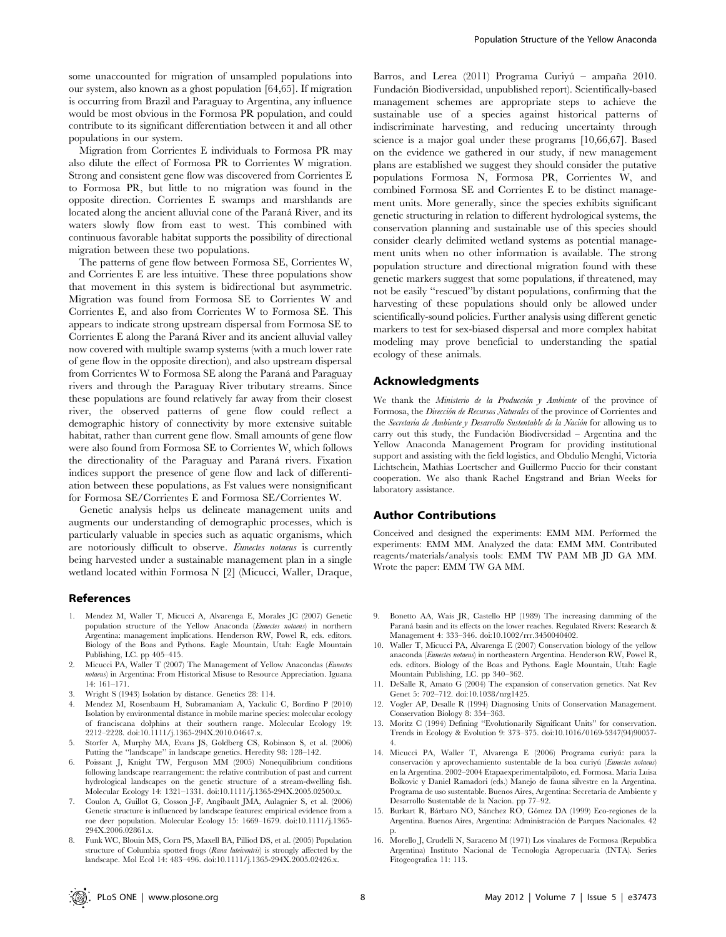some unaccounted for migration of unsampled populations into our system, also known as a ghost population [64,65]. If migration is occurring from Brazil and Paraguay to Argentina, any influence would be most obvious in the Formosa PR population, and could contribute to its significant differentiation between it and all other populations in our system.

Migration from Corrientes E individuals to Formosa PR may also dilute the effect of Formosa PR to Corrientes W migration. Strong and consistent gene flow was discovered from Corrientes E to Formosa PR, but little to no migration was found in the opposite direction. Corrientes E swamps and marshlands are located along the ancient alluvial cone of the Paraná River, and its waters slowly flow from east to west. This combined with continuous favorable habitat supports the possibility of directional migration between these two populations.

The patterns of gene flow between Formosa SE, Corrientes W, and Corrientes E are less intuitive. These three populations show that movement in this system is bidirectional but asymmetric. Migration was found from Formosa SE to Corrientes W and Corrientes E, and also from Corrientes W to Formosa SE. This appears to indicate strong upstream dispersal from Formosa SE to Corrientes E along the Paraná River and its ancient alluvial valley now covered with multiple swamp systems (with a much lower rate of gene flow in the opposite direction), and also upstream dispersal from Corrientes W to Formosa SE along the Paraná and Paraguay rivers and through the Paraguay River tributary streams. Since these populations are found relatively far away from their closest river, the observed patterns of gene flow could reflect a demographic history of connectivity by more extensive suitable habitat, rather than current gene flow. Small amounts of gene flow were also found from Formosa SE to Corrientes W, which follows the directionality of the Paraguay and Paraná rivers. Fixation indices support the presence of gene flow and lack of differentiation between these populations, as Fst values were nonsignificant for Formosa SE/Corrientes E and Formosa SE/Corrientes W.

Genetic analysis helps us delineate management units and augments our understanding of demographic processes, which is particularly valuable in species such as aquatic organisms, which are notoriously difficult to observe. Eunectes notaeus is currently being harvested under a sustainable management plan in a single wetland located within Formosa N [2] (Micucci, Waller, Draque,

#### References

- 1. Mendez M, Waller T, Micucci A, Alvarenga E, Morales JC (2007) Genetic population structure of the Yellow Anaconda (Eunectes notaeus) in northern Argentina: management implications. Henderson RW, Powel R, eds. editors. Biology of the Boas and Pythons. Eagle Mountain, Utah: Eagle Mountain Publishing, LC. pp 405–415.
- 2. Micucci PA, Waller T (2007) The Management of Yellow Anacondas (Eunectes notaeus) in Argentina: From Historical Misuse to Resource Appreciation. Iguana 14: 161–171.
- 3. Wright S (1943) Isolation by distance. Genetics 28: 114.
- 4. Mendez M, Rosenbaum H, Subramaniam A, Yackulic C, Bordino P (2010) Isolation by environmental distance in mobile marine species: molecular ecology of franciscana dolphins at their southern range. Molecular Ecology 19: 2212–2228. doi:10.1111/j.1365-294X.2010.04647.x.
- 5. Storfer A, Murphy MA, Evans JS, Goldberg CS, Robinson S, et al. (2006) Putting the ''landscape'' in landscape genetics. Heredity 98: 128–142.
- 6. Poissant J, Knight TW, Ferguson MM (2005) Nonequilibrium conditions following landscape rearrangement: the relative contribution of past and current hydrological landscapes on the genetic structure of a stream-dwelling fish. Molecular Ecology 14: 1321–1331. doi:10.1111/j.1365-294X.2005.02500.x.
- 7. Coulon A, Guillot G, Cosson J-F, Angibault JMA, Aulagnier S, et al. (2006) Genetic structure is influenced by landscape features: empirical evidence from a roe deer population. Molecular Ecology 15: 1669–1679. doi:10.1111/j.1365- 294X.2006.02861.x.
- 8. Funk WC, Blouin MS, Corn PS, Maxell BA, Pilliod DS, et al. (2005) Population structure of Columbia spotted frogs *(Rana luteiventris)* is strongly affected by the landscape. Mol Ecol 14: 483–496. doi:10.1111/j.1365-294X.2005.02426.x.

Barros, and Lerea (2011) Programa Curiyú – ampaña 2010. Fundación Biodiversidad, unpublished report). Scientifically-based management schemes are appropriate steps to achieve the sustainable use of a species against historical patterns of indiscriminate harvesting, and reducing uncertainty through science is a major goal under these programs [10,66,67]. Based on the evidence we gathered in our study, if new management plans are established we suggest they should consider the putative populations Formosa N, Formosa PR, Corrientes W, and combined Formosa SE and Corrientes E to be distinct management units. More generally, since the species exhibits significant genetic structuring in relation to different hydrological systems, the conservation planning and sustainable use of this species should consider clearly delimited wetland systems as potential management units when no other information is available. The strong population structure and directional migration found with these genetic markers suggest that some populations, if threatened, may not be easily ''rescued''by distant populations, confirming that the harvesting of these populations should only be allowed under scientifically-sound policies. Further analysis using different genetic markers to test for sex-biased dispersal and more complex habitat modeling may prove beneficial to understanding the spatial ecology of these animals.

#### Acknowledgments

We thank the *Ministerio de la Producción* y *Ambiente* of the province of Formosa, the Dirección de Recursos Naturales of the province of Corrientes and the Secretaría de Ambiente y Desarrollo Sustentable de la Nación for allowing us to carry out this study, the Fundación Biodiversidad – Argentina and the Yellow Anaconda Management Program for providing institutional support and assisting with the field logistics, and Obdulio Menghi, Victoria Lichtschein, Mathias Loertscher and Guillermo Puccio for their constant cooperation. We also thank Rachel Engstrand and Brian Weeks for laboratory assistance.

### Author Contributions

Conceived and designed the experiments: EMM MM. Performed the experiments: EMM MM. Analyzed the data: EMM MM. Contributed reagents/materials/analysis tools: EMM TW PAM MB JD GA MM. Wrote the paper: EMM TW GA MM.

- 9. Bonetto AA, Wais JR, Castello HP (1989) The increasing damming of the Paraná basin and its effects on the lower reaches. Regulated Rivers: Research & Management 4: 333–346. doi:10.1002/rrr.3450040402.
- 10. Waller T, Micucci PA, Alvarenga E (2007) Conservation biology of the yellow anaconda (Eunectes notaeus) in northeastern Argentina. Henderson RW, Powel R, eds. editors. Biology of the Boas and Pythons. Eagle Mountain, Utah: Eagle Mountain Publishing, LC. pp 340–362.
- 11. DeSalle R, Amato G (2004) The expansion of conservation genetics. Nat Rev Genet 5: 702–712. doi:10.1038/nrg1425.
- 12. Vogler AP, Desalle R (1994) Diagnosing Units of Conservation Management. Conservation Biology 8: 354–363.
- 13. Moritz C (1994) Defining ''Evolutionarily Significant Units'' for conservation. Trends in Ecology & Evolution 9: 373–375. doi:10.1016/0169-5347(94)90057- 4.
- 14. Micucci PA, Waller T, Alvarenga E (2006) Programa curiyú: para la conservación y aprovechamiento sustentable de la boa curiyú (Eunectes notaeus) en la Argentina. 2002–2004 Etapaexperimentalpiloto, ed. Formosa. María Luisa Bolkovic y Daniel Ramadori (eds.) Manejo de fauna silvestre en la Argentina. Programa de uso sustentable. Buenos Aires, Argentina: Secretaria de Ambiente y Desarrollo Sustentable de la Nacion. pp 77–92.
- 15. Burkart R, Bárbaro NO, Sánchez RO, Gómez DA (1999) Eco-regiones de la Argentina. Buenos Aires, Argentina: Administración de Parques Nacionales. 42 p.
- 16. Morello J, Crudelli N, Saraceno M (1971) Los vinalares de Formosa (Republica Argentina) Instituto Nacional de Tecnologia Agropecuaria (INTA). Series Fitogeografica 11: 113.